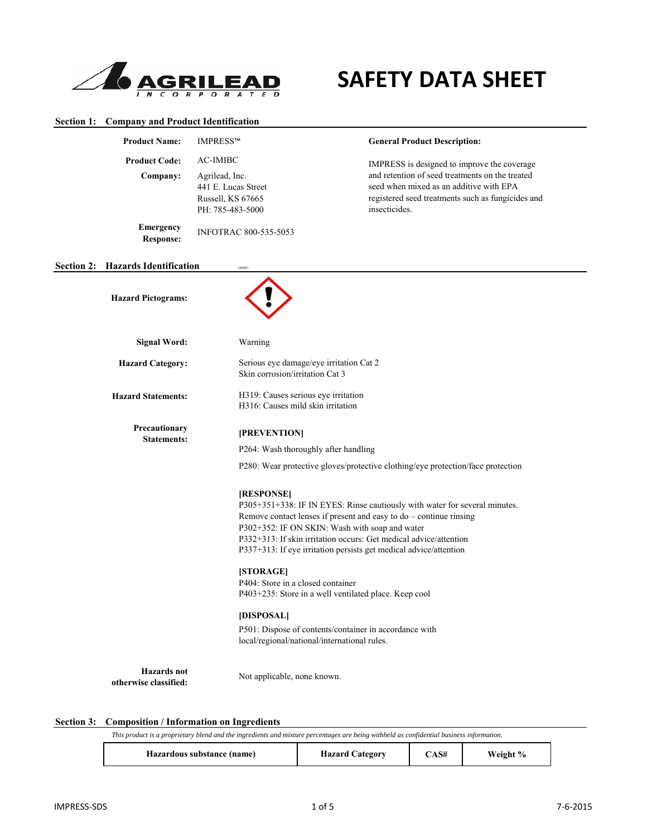

# **SAFETY DATA SHEET**

## **Section 1: Company and Product Identification**

|                   | <b>Product Name:</b>                        | IMPRESS™                                                                                                                                                                                                                                                                                      | <b>General Product Description:</b>                                                                                                                                                                                                                                                                                                                                                                                                       |
|-------------------|---------------------------------------------|-----------------------------------------------------------------------------------------------------------------------------------------------------------------------------------------------------------------------------------------------------------------------------------------------|-------------------------------------------------------------------------------------------------------------------------------------------------------------------------------------------------------------------------------------------------------------------------------------------------------------------------------------------------------------------------------------------------------------------------------------------|
|                   | <b>Product Code:</b>                        | <b>AC-IMIBC</b>                                                                                                                                                                                                                                                                               | IMPRESS is designed to improve the coverage                                                                                                                                                                                                                                                                                                                                                                                               |
|                   | Company:                                    | Agrilead, Inc.<br>441 E. Lucas Street<br>Russell, KS 67665<br>PH: 785-483-5000                                                                                                                                                                                                                | and retention of seed treatments on the treated<br>seed when mixed as an additive with EPA<br>registered seed treatments such as fungicides and<br>insecticides.                                                                                                                                                                                                                                                                          |
|                   | <b>Emergency</b><br><b>Response:</b>        | INFOTRAC 800-535-5053                                                                                                                                                                                                                                                                         |                                                                                                                                                                                                                                                                                                                                                                                                                                           |
| <b>Section 2:</b> | <b>Hazards Identification</b>               | GHS07                                                                                                                                                                                                                                                                                         |                                                                                                                                                                                                                                                                                                                                                                                                                                           |
|                   | <b>Hazard Pictograms:</b>                   |                                                                                                                                                                                                                                                                                               |                                                                                                                                                                                                                                                                                                                                                                                                                                           |
|                   | <b>Signal Word:</b>                         | Warning                                                                                                                                                                                                                                                                                       |                                                                                                                                                                                                                                                                                                                                                                                                                                           |
|                   | <b>Hazard Category:</b>                     | Serious eye damage/eye irritation Cat 2<br>Skin corrosion/irritation Cat 3                                                                                                                                                                                                                    |                                                                                                                                                                                                                                                                                                                                                                                                                                           |
|                   | <b>Hazard Statements:</b>                   | H319: Causes serious eye irritation<br>H316: Causes mild skin irritation                                                                                                                                                                                                                      |                                                                                                                                                                                                                                                                                                                                                                                                                                           |
|                   | Precautionary<br><b>Statements:</b>         | [PREVENTION]<br>P264: Wash thoroughly after handling<br>[RESPONSE]<br>P302+352: IF ON SKIN: Wash with soap and water<br>[STORAGE]<br>P404: Store in a closed container<br>P403+235: Store in a well ventilated place. Keep cool<br>[DISPOSAL]<br>local/regional/national/international rules. | P280: Wear protective gloves/protective clothing/eye protection/face protection<br>P305+351+338: IF IN EYES: Rinse cautiously with water for several minutes.<br>Remove contact lenses if present and easy to $do$ – continue rinsing<br>P332+313: If skin irritation occurs: Get medical advice/attention<br>P337+313: If eye irritation persists get medical advice/attention<br>P501: Dispose of contents/container in accordance with |
|                   | <b>Hazards</b> not<br>otherwise classified: | Not applicable, none known.                                                                                                                                                                                                                                                                   |                                                                                                                                                                                                                                                                                                                                                                                                                                           |

## **Section 3: Composition / Information on Ingredients**

| This<br>$\upsilon$ blend and the ingredients and mixture percentages are being withheld as confidential business $\mu$<br>' is a proprietary.<br>product<br>™ information. |  |  |  |  |
|----------------------------------------------------------------------------------------------------------------------------------------------------------------------------|--|--|--|--|
|                                                                                                                                                                            |  |  |  |  |

| Hazardous substance (name) | <b>Hazard Category</b> | CAS# | Weight % |  |
|----------------------------|------------------------|------|----------|--|
|----------------------------|------------------------|------|----------|--|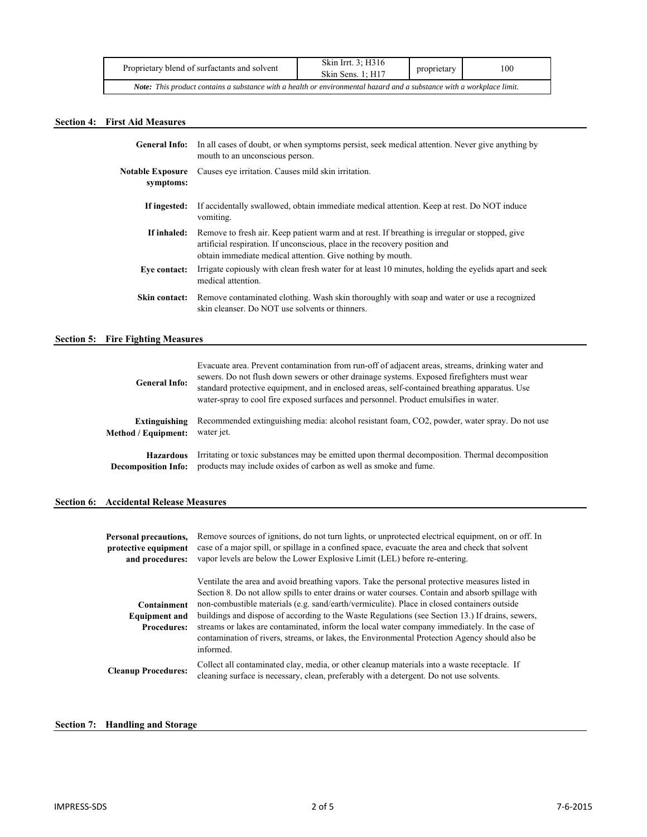| Proprietary blend of surfactants and solvent                                                                                 | Skin Irrt. 3: H316<br>Skin Sens. 1: H17 | proprietary | 100 |  |
|------------------------------------------------------------------------------------------------------------------------------|-----------------------------------------|-------------|-----|--|
| <b>Note:</b> This product contains a substance with a health or environmental hazard and a substance with a workplace limit. |                                         |             |     |  |

# **Section 4: First Aid Measures**

| <b>General Info:</b>                 | In all cases of doubt, or when symptoms persist, seek medical attention. Never give anything by<br>mouth to an unconscious person.                                                                                                         |
|--------------------------------------|--------------------------------------------------------------------------------------------------------------------------------------------------------------------------------------------------------------------------------------------|
| <b>Notable Exposure</b><br>symptoms: | Causes eve irritation. Causes mild skin irritation.                                                                                                                                                                                        |
| If ingested:                         | If accidentally swallowed, obtain immediate medical attention. Keep at rest. Do NOT induce<br>vomiting.                                                                                                                                    |
| If inhaled:                          | Remove to fresh air. Keep patient warm and at rest. If breathing is irregular or stopped, give<br>artificial respiration. If unconscious, place in the recovery position and<br>obtain immediate medical attention. Give nothing by mouth. |
| Eve contact:                         | Irrigate copiously with clean fresh water for at least 10 minutes, holding the evelids apart and seek<br>medical attention.                                                                                                                |
| Skin contact:                        | Remove contaminated clothing. Wash skin thoroughly with soap and water or use a recognized<br>skin cleanser. Do NOT use solvents or thinners.                                                                                              |

# **Section 5: Fire Fighting Measures**

| <b>General Info:</b>       | Evacuate area. Prevent contamination from run-off of adjacent areas, streams, drinking water and<br>sewers. Do not flush down sewers or other drainage systems. Exposed firefighters must wear<br>standard protective equipment, and in enclosed areas, self-contained breathing apparatus. Use<br>water-spray to cool fire exposed surfaces and personnel. Product emulsifies in water. |
|----------------------------|------------------------------------------------------------------------------------------------------------------------------------------------------------------------------------------------------------------------------------------------------------------------------------------------------------------------------------------------------------------------------------------|
| <b>Extinguishing</b>       | Recommended extinguishing media: alcohol resistant foam, CO2, powder, water spray. Do not use                                                                                                                                                                                                                                                                                            |
| Method / Equipment:        | water jet.                                                                                                                                                                                                                                                                                                                                                                               |
| <b>Hazardous</b>           | Irritating or toxic substances may be emitted upon thermal decomposition. Thermal decomposition                                                                                                                                                                                                                                                                                          |
| <b>Decomposition Info:</b> | products may include oxides of carbon as well as smoke and fume.                                                                                                                                                                                                                                                                                                                         |

# **Section 6: Accidental Release Measures**

| Personal precautions,<br>protective equipment<br>and procedures: | Remove sources of ignitions, do not turn lights, or unprotected electrical equipment, on or off. In<br>case of a major spill, or spillage in a confined space, evacuate the area and check that solvent<br>vapor levels are below the Lower Explosive Limit (LEL) before re-entering.                                                                                                                                                                                                                                                                                                                                  |
|------------------------------------------------------------------|------------------------------------------------------------------------------------------------------------------------------------------------------------------------------------------------------------------------------------------------------------------------------------------------------------------------------------------------------------------------------------------------------------------------------------------------------------------------------------------------------------------------------------------------------------------------------------------------------------------------|
| Containment<br><b>Equipment and</b><br><b>Procedures:</b>        | Ventilate the area and avoid breathing vapors. Take the personal protective measures listed in<br>Section 8. Do not allow spills to enter drains or water courses. Contain and absorb spillage with<br>non-combustible materials (e.g. sand/earth/vermiculite). Place in closed containers outside<br>buildings and dispose of according to the Waste Regulations (see Section 13.) If drains, sewers,<br>streams or lakes are contaminated, inform the local water company immediately. In the case of<br>contamination of rivers, streams, or lakes, the Environmental Protection Agency should also be<br>informed. |
| <b>Cleanup Procedures:</b>                                       | Collect all contaminated clay, media, or other cleanup materials into a waste receptacle. If<br>cleaning surface is necessary, clean, preferably with a detergent. Do not use solvents.                                                                                                                                                                                                                                                                                                                                                                                                                                |

# **Section 7: Handling and Storage**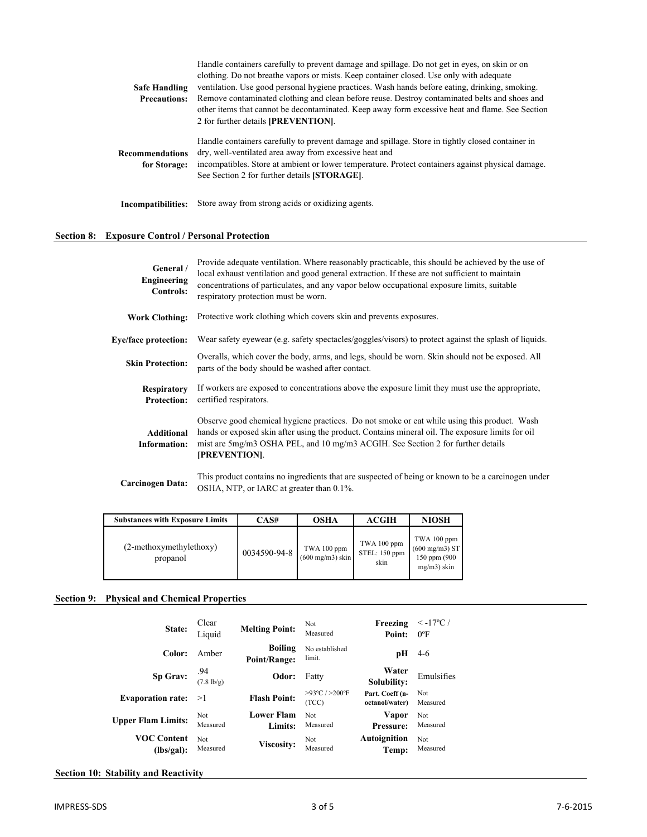|                      | Handle containers carefully to prevent damage and spillage. Do not get in eyes, on skin or on                                                              |
|----------------------|------------------------------------------------------------------------------------------------------------------------------------------------------------|
|                      | clothing. Do not breathe vapors or mists. Keep container closed. Use only with adequate                                                                    |
| <b>Safe Handling</b> | ventilation. Use good personal hygiene practices. Wash hands before eating, drinking, smoking.                                                             |
| <b>Precautions:</b>  | Remove contaminated clothing and clean before reuse. Destroy contaminated belts and shoes and                                                              |
|                      | other items that cannot be decontaminated. Keep away form excessive heat and flame. See Section                                                            |
|                      | 2 for further details [PREVENTION].                                                                                                                        |
| Recommendations      | Handle containers carefully to prevent damage and spillage. Store in tightly closed container in<br>dry, well-ventilated area away from excessive heat and |
| for Storage:         | incompatibles. Store at ambient or lower temperature. Protect containers against physical damage.<br>See Section 2 for further details [STORAGE].          |
| Incompatibilities:   | Store away from strong acids or oxidizing agents.                                                                                                          |

# **Section 8: Exposure Control / Personal Protection**

| General /<br>Engineering<br>Controls:    | Provide adequate ventilation. Where reasonably practicable, this should be achieved by the use of<br>local exhaust ventilation and good general extraction. If these are not sufficient to maintain<br>concentrations of particulates, and any vapor below occupational exposure limits, suitable<br>respiratory protection must be worn. |
|------------------------------------------|-------------------------------------------------------------------------------------------------------------------------------------------------------------------------------------------------------------------------------------------------------------------------------------------------------------------------------------------|
| <b>Work Clothing:</b>                    | Protective work clothing which covers skin and prevents exposures.                                                                                                                                                                                                                                                                        |
| <b>Eye/face protection:</b>              | Wear safety eyewear (e.g. safety spectacles/goggles/visors) to protect against the splash of liquids.                                                                                                                                                                                                                                     |
| <b>Skin Protection:</b>                  | Overalls, which cover the body, arms, and legs, should be worn. Skin should not be exposed. All<br>parts of the body should be washed after contact.                                                                                                                                                                                      |
| <b>Respiratory</b><br><b>Protection:</b> | If workers are exposed to concentrations above the exposure limit they must use the appropriate,<br>certified respirators.                                                                                                                                                                                                                |
| <b>Additional</b><br>Information:        | Observe good chemical hygiene practices. Do not smoke or eat while using this product. Wash<br>hands or exposed skin after using the product. Contains mineral oil. The exposure limits for oil<br>mist are 5mg/m3 OSHA PEL, and 10 mg/m3 ACGIH. See Section 2 for further details<br>[PREVENTION].                                       |
| <b>Carcinogen Data:</b>                  | This product contains no ingredients that are suspected of being or known to be a carcinogen under<br>OSHA, NTP, or IARC at greater than 0.1%.                                                                                                                                                                                            |

| <b>Substances with Exposure Limits</b> | CAS#         | <b>OSHA</b>                               | ACGIH                                | <b>NIOSH</b>                                                              |
|----------------------------------------|--------------|-------------------------------------------|--------------------------------------|---------------------------------------------------------------------------|
| (2-methoxymethylethoxy)<br>propanol    | 0034590-94-8 | TWA 100 ppm<br>$(600 \text{ mg/m3})$ skin | TWA 100 ppm<br>STEL: 150 ppm<br>skin | TWA 100 ppm<br>$(600 \text{ mg/m3})$ ST<br>150 ppm (900<br>$mg/m3$ ) skin |

## **Section 9: Physical and Chemical Properties**

| State:                                 | Clear<br>Liquid        | <b>Melting Point:</b>        | Not<br>Measured                             | Freezing<br>Point:                | $\langle -17^{\circ}$ C /<br>$0^{\circ}$ F |
|----------------------------------------|------------------------|------------------------------|---------------------------------------------|-----------------------------------|--------------------------------------------|
| Color:                                 | Amber                  | Boiling<br>Point/Range:      | No established<br>limit.                    | pН                                | $4-6$                                      |
| Sp Grav: $^{.94}_{(7.8 \text{ lb/g})}$ |                        | Odor:                        | Fatty                                       | Water<br>Solubility:              | Emulsifies                                 |
| <b>Evaporation rate:</b>               | >1                     | <b>Flash Point:</b>          | $>93^{\circ}$ C / $>200^{\circ}$ F<br>(TCC) | Part. Coeff (n-<br>octanol/water) | Not<br>Measured                            |
| <b>Upper Flam Limits:</b>              | Not<br>Measured        | <b>Lower Flam</b><br>Limits: | <b>Not</b><br>Measured                      | Vapor<br>Pressure:                | Not<br>Measured                            |
| <b>VOC Content</b><br>(lbs/gal):       | <b>Not</b><br>Measured | Viscosity:                   | Not<br>Measured                             | Autoignition<br>Temp:             | Not<br>Measured                            |

## **Section 10: Stability and Reactivity**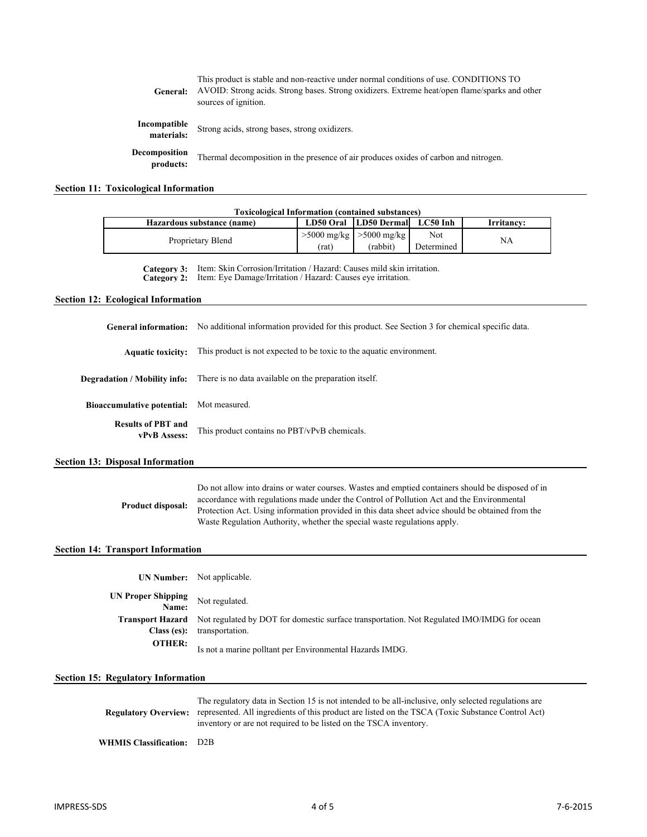| General:                   | This product is stable and non-reactive under normal conditions of use. CONDITIONS TO<br>AVOID: Strong acids. Strong bases. Strong oxidizers. Extreme heat/open flame/sparks and other<br>sources of ignition. |
|----------------------------|----------------------------------------------------------------------------------------------------------------------------------------------------------------------------------------------------------------|
| Incompatible<br>materials: | Strong acids, strong bases, strong oxidizers.                                                                                                                                                                  |
| Decomposition<br>products: | Thermal decomposition in the presence of air produces oxides of carbon and nitrogen.                                                                                                                           |

# **Section 11: Toxicological Information**

|                                                                                                                                                                                                                                                                                                                                                                                                     | <b>Toxicological Information (contained substances)</b>                                                                                                                                                                                                                        |                    |               |            |    |
|-----------------------------------------------------------------------------------------------------------------------------------------------------------------------------------------------------------------------------------------------------------------------------------------------------------------------------------------------------------------------------------------------------|--------------------------------------------------------------------------------------------------------------------------------------------------------------------------------------------------------------------------------------------------------------------------------|--------------------|---------------|------------|----|
| Hazardous substance (name)                                                                                                                                                                                                                                                                                                                                                                          | LD50 Oral                                                                                                                                                                                                                                                                      | <b>LD50 Dermal</b> | LC50 Inh      | Irritancy: |    |
| Proprietary Blend                                                                                                                                                                                                                                                                                                                                                                                   |                                                                                                                                                                                                                                                                                | $>5000$ mg/kg      | $>5000$ mg/kg | Not        | NA |
|                                                                                                                                                                                                                                                                                                                                                                                                     |                                                                                                                                                                                                                                                                                | (rat)              | (rabbit)      | Determined |    |
| Item: Skin Corrosion/Irritation / Hazard: Causes mild skin irritation.<br>Category 3:<br>Item: Eye Damage/Irritation / Hazard: Causes eye irritation.<br>Category 2:                                                                                                                                                                                                                                |                                                                                                                                                                                                                                                                                |                    |               |            |    |
| <b>Section 12: Ecological Information</b>                                                                                                                                                                                                                                                                                                                                                           |                                                                                                                                                                                                                                                                                |                    |               |            |    |
| <b>General information:</b>                                                                                                                                                                                                                                                                                                                                                                         | No additional information provided for this product. See Section 3 for chemical specific data.                                                                                                                                                                                 |                    |               |            |    |
| <b>Aquatic toxicity:</b>                                                                                                                                                                                                                                                                                                                                                                            | This product is not expected to be toxic to the aquatic environment.                                                                                                                                                                                                           |                    |               |            |    |
| Degradation / Mobility info:                                                                                                                                                                                                                                                                                                                                                                        | There is no data available on the preparation itself.                                                                                                                                                                                                                          |                    |               |            |    |
| <b>Bioaccumulative potential:</b>                                                                                                                                                                                                                                                                                                                                                                   | Mot measured.                                                                                                                                                                                                                                                                  |                    |               |            |    |
| <b>Results of PBT and</b><br>vPvB Assess:                                                                                                                                                                                                                                                                                                                                                           | This product contains no PBT/vPvB chemicals.                                                                                                                                                                                                                                   |                    |               |            |    |
| <b>Section 13: Disposal Information</b>                                                                                                                                                                                                                                                                                                                                                             |                                                                                                                                                                                                                                                                                |                    |               |            |    |
| Do not allow into drains or water courses. Wastes and emptied containers should be disposed of in<br>accordance with regulations made under the Control of Pollution Act and the Environmental<br>Product disposal:<br>Protection Act. Using information provided in this data sheet advice should be obtained from the<br>Waste Regulation Authority, whether the special waste regulations apply. |                                                                                                                                                                                                                                                                                |                    |               |            |    |
| <b>Section 14: Transport Information</b>                                                                                                                                                                                                                                                                                                                                                            |                                                                                                                                                                                                                                                                                |                    |               |            |    |
| <b>UN Number:</b>                                                                                                                                                                                                                                                                                                                                                                                   | Not applicable.                                                                                                                                                                                                                                                                |                    |               |            |    |
| <b>UN Proper Shipping</b><br>Name:                                                                                                                                                                                                                                                                                                                                                                  | Not regulated.                                                                                                                                                                                                                                                                 |                    |               |            |    |
| <b>Transport Hazard</b><br>Not regulated by DOT for domestic surface transportation. Not Regulated IMO/IMDG for ocean<br>transportation.<br>Class (es):                                                                                                                                                                                                                                             |                                                                                                                                                                                                                                                                                |                    |               |            |    |
| <b>OTHER:</b>                                                                                                                                                                                                                                                                                                                                                                                       | Is not a marine polltant per Environmental Hazards IMDG.                                                                                                                                                                                                                       |                    |               |            |    |
| <b>Section 15: Regulatory Information</b>                                                                                                                                                                                                                                                                                                                                                           |                                                                                                                                                                                                                                                                                |                    |               |            |    |
| <b>Regulatory Overview:</b>                                                                                                                                                                                                                                                                                                                                                                         | The regulatory data in Section 15 is not intended to be all-inclusive, only selected regulations are<br>represented. All ingredients of this product are listed on the TSCA (Toxic Substance Control Act)<br>inventory or are not required to be listed on the TSCA inventory. |                    |               |            |    |
| <b>WHMIS Classification:</b>                                                                                                                                                                                                                                                                                                                                                                        | D2B                                                                                                                                                                                                                                                                            |                    |               |            |    |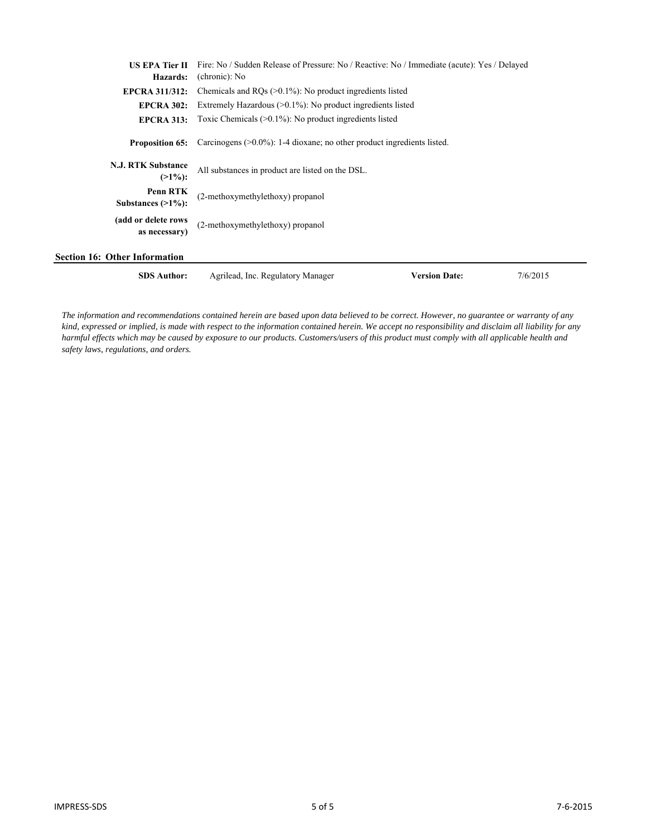| <b>US EPA Tier II</b>                   | Fire: No / Sudden Release of Pressure: No / Reactive: No / Immediate (acute): Yes / Delayed |                      |          |
|-----------------------------------------|---------------------------------------------------------------------------------------------|----------------------|----------|
| Hazards:                                | (chronic): No                                                                               |                      |          |
| <b>EPCRA 311/312:</b>                   | Chemicals and $RQs$ ( $>0.1\%$ ): No product ingredients listed                             |                      |          |
| <b>EPCRA 302:</b>                       | Extremely Hazardous $(>0.1\%)$ : No product ingredients listed                              |                      |          |
| <b>EPCRA 313:</b>                       | Toxic Chemicals $(>0.1\%)$ : No product ingredients listed                                  |                      |          |
| <b>Proposition 65:</b>                  | Carcinogens $(0.0\%)$ : 1-4 dioxane; no other product ingredients listed.                   |                      |          |
| <b>N.J. RTK Substance</b><br>$(>1\%)$ : | All substances in product are listed on the DSL.                                            |                      |          |
| Penn RTK<br>Substances $(>1\%)$ :       | (2-methoxymethylethoxy) propanol                                                            |                      |          |
| (add or delete rows<br>as necessary)    | (2-methoxymethylethoxy) propanol                                                            |                      |          |
| <b>Section 16: Other Information</b>    |                                                                                             |                      |          |
| <b>SDS Author:</b>                      | Agrilead, Inc. Regulatory Manager                                                           | <b>Version Date:</b> | 7/6/2015 |

*The information and recommendations contained herein are based upon data believed to be correct. However, no guarantee or warranty of any kind, expressed or implied, is made with respect to the information contained herein. We accept no responsibility and disclaim all liability for any harmful effects which may be caused by exposure to our products. Customers/users of this product must comply with all applicable health and safety laws, regulations, and orders.*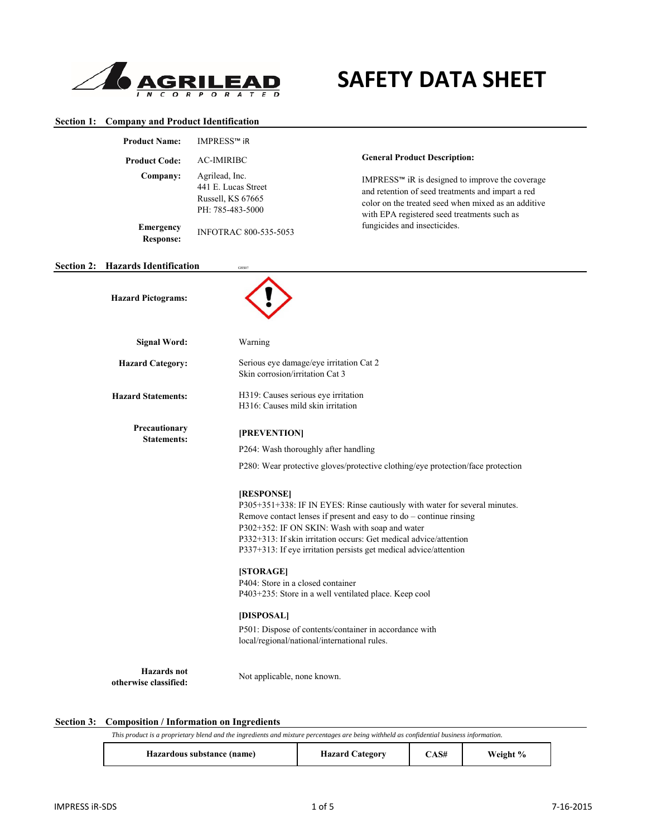

**Section 1: Company and Product Identification**

# **SAFETY DATA SHEET**

| <b>Product Name:</b>                        | IMPRESS™ iR                                                                                                                                                                        |                                                                                                                                                                                                                                                                                                                                                                                                                                                                                                                                                    |  |  |
|---------------------------------------------|------------------------------------------------------------------------------------------------------------------------------------------------------------------------------------|----------------------------------------------------------------------------------------------------------------------------------------------------------------------------------------------------------------------------------------------------------------------------------------------------------------------------------------------------------------------------------------------------------------------------------------------------------------------------------------------------------------------------------------------------|--|--|
| <b>Product Code:</b>                        | <b>AC-IMIRIBC</b>                                                                                                                                                                  | <b>General Product Description:</b>                                                                                                                                                                                                                                                                                                                                                                                                                                                                                                                |  |  |
| Company:<br><b>Emergency</b>                | Agrilead, Inc.<br>441 E. Lucas Street<br>Russell, KS 67665<br>PH: 785-483-5000<br>INFOTRAC 800-535-5053                                                                            | IMPRESS™ iR is designed to improve the coverage<br>and retention of seed treatments and impart a red<br>color on the treated seed when mixed as an additive<br>with EPA registered seed treatments such as<br>fungicides and insecticides.                                                                                                                                                                                                                                                                                                         |  |  |
| <b>Response:</b>                            |                                                                                                                                                                                    |                                                                                                                                                                                                                                                                                                                                                                                                                                                                                                                                                    |  |  |
| Section 2: Hazards Identification           | GHS07                                                                                                                                                                              |                                                                                                                                                                                                                                                                                                                                                                                                                                                                                                                                                    |  |  |
| <b>Hazard Pictograms:</b>                   |                                                                                                                                                                                    |                                                                                                                                                                                                                                                                                                                                                                                                                                                                                                                                                    |  |  |
| <b>Signal Word:</b>                         | Warning                                                                                                                                                                            |                                                                                                                                                                                                                                                                                                                                                                                                                                                                                                                                                    |  |  |
| <b>Hazard Category:</b>                     |                                                                                                                                                                                    | Serious eye damage/eye irritation Cat 2<br>Skin corrosion/irritation Cat 3                                                                                                                                                                                                                                                                                                                                                                                                                                                                         |  |  |
| <b>Hazard Statements:</b>                   |                                                                                                                                                                                    | H319: Causes serious eye irritation<br>H316: Causes mild skin irritation                                                                                                                                                                                                                                                                                                                                                                                                                                                                           |  |  |
| Precautionary<br><b>Statements:</b>         | [PREVENTION]<br>P264: Wash thoroughly after handling<br>[RESPONSE]<br>[STORAGE]<br>P404: Store in a closed container<br>[DISPOSAL]<br>local/regional/national/international rules. | P280: Wear protective gloves/protective clothing/eye protection/face protection<br>P305+351+338: IF IN EYES: Rinse cautiously with water for several minutes.<br>Remove contact lenses if present and easy to do - continue rinsing<br>P302+352: IF ON SKIN: Wash with soap and water<br>P332+313: If skin irritation occurs: Get medical advice/attention<br>P337+313: If eye irritation persists get medical advice/attention<br>P403+235: Store in a well ventilated place. Keep cool<br>P501: Dispose of contents/container in accordance with |  |  |
| <b>Hazards</b> not<br>otherwise classified: | Not applicable, none known.                                                                                                                                                        |                                                                                                                                                                                                                                                                                                                                                                                                                                                                                                                                                    |  |  |

## **Section 3: Composition / Information on Ingredients**

| v blend and the ingredients and 1<br>This<br>ı proprietary<br>produc<br>s a | t mixture percentages are .<br>e being withheld?<br>as | contidential<br>business | : intormation. |  |
|-----------------------------------------------------------------------------|--------------------------------------------------------|--------------------------|----------------|--|
|                                                                             |                                                        |                          |                |  |

| Hazardous substance (name) | <b>Hazard Category</b> | CAS# | Weight % |  |
|----------------------------|------------------------|------|----------|--|
|----------------------------|------------------------|------|----------|--|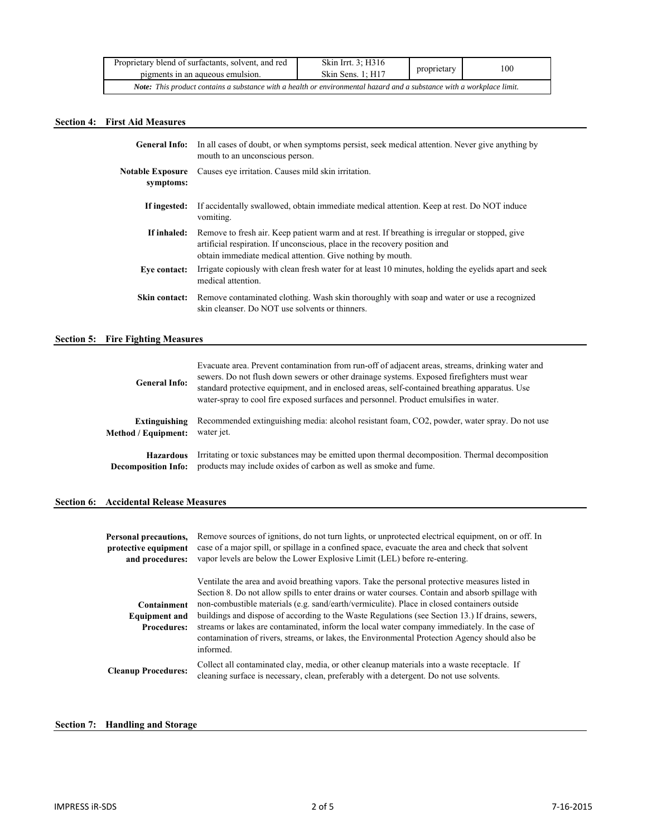| Proprietary blend of surfactants, solvent, and red<br>pigments in an aqueous emulsion.                                | Skin Irrt. 3: H316<br>Skin Sens. 1: H17 | proprietary | 100 |  |
|-----------------------------------------------------------------------------------------------------------------------|-----------------------------------------|-------------|-----|--|
| Note: This product contains a substance with a health or environmental hazard and a substance with a workplace limit. |                                         |             |     |  |

# **Section 4: First Aid Measures**

| <b>General Info:</b>                 | In all cases of doubt, or when symptoms persist, seek medical attention. Never give anything by<br>mouth to an unconscious person.                                                                                                         |
|--------------------------------------|--------------------------------------------------------------------------------------------------------------------------------------------------------------------------------------------------------------------------------------------|
| <b>Notable Exposure</b><br>symptoms: | Causes eve irritation. Causes mild skin irritation.                                                                                                                                                                                        |
| If ingested:                         | If accidentally swallowed, obtain immediate medical attention. Keep at rest. Do NOT induce<br>vomiting.                                                                                                                                    |
| If inhaled:                          | Remove to fresh air. Keep patient warm and at rest. If breathing is irregular or stopped, give<br>artificial respiration. If unconscious, place in the recovery position and<br>obtain immediate medical attention. Give nothing by mouth. |
| Eve contact:                         | Irrigate copiously with clean fresh water for at least 10 minutes, holding the evelids apart and seek<br>medical attention.                                                                                                                |
| Skin contact:                        | Remove contaminated clothing. Wash skin thoroughly with soap and water or use a recognized<br>skin cleanser. Do NOT use solvents or thinners.                                                                                              |

# **Section 5: Fire Fighting Measures**

| <b>General Info:</b>       | Evacuate area. Prevent contamination from run-off of adjacent areas, streams, drinking water and<br>sewers. Do not flush down sewers or other drainage systems. Exposed firefighters must wear<br>standard protective equipment, and in enclosed areas, self-contained breathing apparatus. Use<br>water-spray to cool fire exposed surfaces and personnel. Product emulsifies in water. |  |  |
|----------------------------|------------------------------------------------------------------------------------------------------------------------------------------------------------------------------------------------------------------------------------------------------------------------------------------------------------------------------------------------------------------------------------------|--|--|
| <b>Extinguishing</b>       | Recommended extinguishing media: alcohol resistant foam, CO2, powder, water spray. Do not use                                                                                                                                                                                                                                                                                            |  |  |
| Method / Equipment:        | water jet.                                                                                                                                                                                                                                                                                                                                                                               |  |  |
| <b>Hazardous</b>           | Irritating or toxic substances may be emitted upon thermal decomposition. Thermal decomposition                                                                                                                                                                                                                                                                                          |  |  |
| <b>Decomposition Info:</b> | products may include oxides of carbon as well as smoke and fume.                                                                                                                                                                                                                                                                                                                         |  |  |

## **Section 6: Accidental Release Measures**

| Personal precautions,<br>protective equipment<br>and procedures: | Remove sources of ignitions, do not turn lights, or unprotected electrical equipment, on or off. In<br>case of a major spill, or spillage in a confined space, evacuate the area and check that solvent<br>vapor levels are below the Lower Explosive Limit (LEL) before re-entering.                                                                                                                                                                                                                                                                                                                                  |
|------------------------------------------------------------------|------------------------------------------------------------------------------------------------------------------------------------------------------------------------------------------------------------------------------------------------------------------------------------------------------------------------------------------------------------------------------------------------------------------------------------------------------------------------------------------------------------------------------------------------------------------------------------------------------------------------|
| Containment<br><b>Equipment and</b><br><b>Procedures:</b>        | Ventilate the area and avoid breathing vapors. Take the personal protective measures listed in<br>Section 8. Do not allow spills to enter drains or water courses. Contain and absorb spillage with<br>non-combustible materials (e.g. sand/earth/vermiculite). Place in closed containers outside<br>buildings and dispose of according to the Waste Regulations (see Section 13.) If drains, sewers,<br>streams or lakes are contaminated, inform the local water company immediately. In the case of<br>contamination of rivers, streams, or lakes, the Environmental Protection Agency should also be<br>informed. |
| <b>Cleanup Procedures:</b>                                       | Collect all contaminated clay, media, or other cleanup materials into a waste receptacle. If<br>cleaning surface is necessary, clean, preferably with a detergent. Do not use solvents.                                                                                                                                                                                                                                                                                                                                                                                                                                |

# **Section 7: Handling and Storage**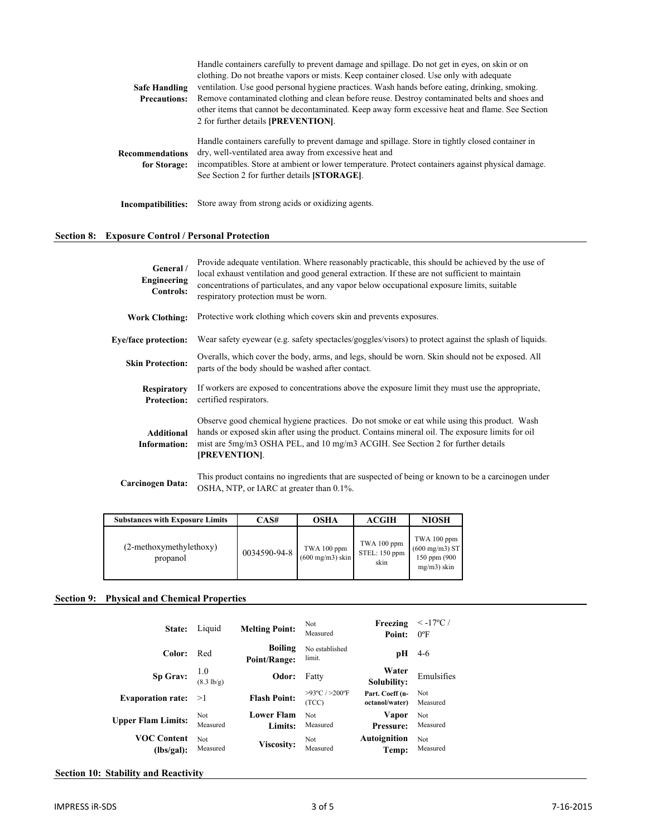|                      | Handle containers carefully to prevent damage and spillage. Do not get in eyes, on skin or on                                                              |
|----------------------|------------------------------------------------------------------------------------------------------------------------------------------------------------|
|                      | clothing. Do not breathe vapors or mists. Keep container closed. Use only with adequate                                                                    |
| <b>Safe Handling</b> | ventilation. Use good personal hygiene practices. Wash hands before eating, drinking, smoking.                                                             |
| <b>Precautions:</b>  | Remove contaminated clothing and clean before reuse. Destroy contaminated belts and shoes and                                                              |
|                      | other items that cannot be decontaminated. Keep away form excessive heat and flame. See Section                                                            |
|                      | 2 for further details [PREVENTION].                                                                                                                        |
| Recommendations      | Handle containers carefully to prevent damage and spillage. Store in tightly closed container in<br>dry, well-ventilated area away from excessive heat and |
| for Storage:         | incompatibles. Store at ambient or lower temperature. Protect containers against physical damage.<br>See Section 2 for further details [STORAGE].          |
| Incompatibilities:   | Store away from strong acids or oxidizing agents.                                                                                                          |

# **Section 8: Exposure Control / Personal Protection**

| General /<br><b>Engineering</b><br>Controls: | Provide adequate ventilation. Where reasonably practicable, this should be achieved by the use of<br>local exhaust ventilation and good general extraction. If these are not sufficient to maintain<br>concentrations of particulates, and any vapor below occupational exposure limits, suitable<br>respiratory protection must be worn. |
|----------------------------------------------|-------------------------------------------------------------------------------------------------------------------------------------------------------------------------------------------------------------------------------------------------------------------------------------------------------------------------------------------|
| <b>Work Clothing:</b>                        | Protective work clothing which covers skin and prevents exposures.                                                                                                                                                                                                                                                                        |
| <b>Eye/face protection:</b>                  | Wear safety eyewear (e.g. safety spectacles/goggles/visors) to protect against the splash of liquids.                                                                                                                                                                                                                                     |
| <b>Skin Protection:</b>                      | Overalls, which cover the body, arms, and legs, should be worn. Skin should not be exposed. All<br>parts of the body should be washed after contact.                                                                                                                                                                                      |
| <b>Respiratory</b><br><b>Protection:</b>     | If workers are exposed to concentrations above the exposure limit they must use the appropriate,<br>certified respirators.                                                                                                                                                                                                                |
| <b>Additional</b><br>Information:            | Observe good chemical hygiene practices. Do not smoke or eat while using this product. Wash<br>hands or exposed skin after using the product. Contains mineral oil. The exposure limits for oil<br>mist are 5mg/m3 OSHA PEL, and 10 mg/m3 ACGIH. See Section 2 for further details<br>[PREVENTION].                                       |
| Carcinogen Data:                             | This product contains no ingredients that are suspected of being or known to be a carcinogen under<br>OSHA, NTP, or IARC at greater than 0.1%.                                                                                                                                                                                            |

| <b>Substances with Exposure Limits</b> | CAS#         | OSHA                                      | ACGIH                                | <b>NIOSH</b>                                                               |
|----------------------------------------|--------------|-------------------------------------------|--------------------------------------|----------------------------------------------------------------------------|
| (2-methoxymethylethoxy)<br>propanol    | 0034590-94-8 | TWA 100 ppm<br>$(600 \text{ mg/m3})$ skin | TWA 100 ppm<br>STEL: 150 ppm<br>skin | TWA 100 ppm<br>$(600 \text{ mg/m3})$ ST<br>150 ppm (900)<br>$mg/m3$ ) skin |

## **Section 9: Physical and Chemical Properties**

| State:                           | Liquid                           | <b>Melting Point:</b>          | Not<br>Measured                             | Freezing<br>Point:                | $\leq$ -17°C /<br>$0^{\circ}$ F |
|----------------------------------|----------------------------------|--------------------------------|---------------------------------------------|-----------------------------------|---------------------------------|
| Color:                           | Red                              | <b>Boiling</b><br>Point/Range: | No established<br>limit.                    | pН                                | $4-6$                           |
| Sp Grav:                         | $\frac{1.0}{(8.3 \text{ lb/g})}$ | Odor:                          | Fatty                                       | Water<br>Solubility:              | Emulsifies                      |
| <b>Evaporation rate:</b>         | >1                               | <b>Flash Point:</b>            | $>93^{\circ}$ C / $>200^{\circ}$ F<br>(TCC) | Part. Coeff (n-<br>octanol/water) | Not<br>Measured                 |
| <b>Upper Flam Limits:</b>        | Not<br>Measured                  | <b>Lower Flam</b><br>Limits:   | <b>Not</b><br>Measured                      | Vapor<br><b>Pressure:</b>         | Not<br>Measured                 |
| <b>VOC Content</b><br>(lbs/gal): | <b>Not</b><br>Measured           | Viscosity:                     | Not<br>Measured                             | <b>Autoignition</b><br>Temp:      | Not<br>Measured                 |

## **Section 10: Stability and Reactivity**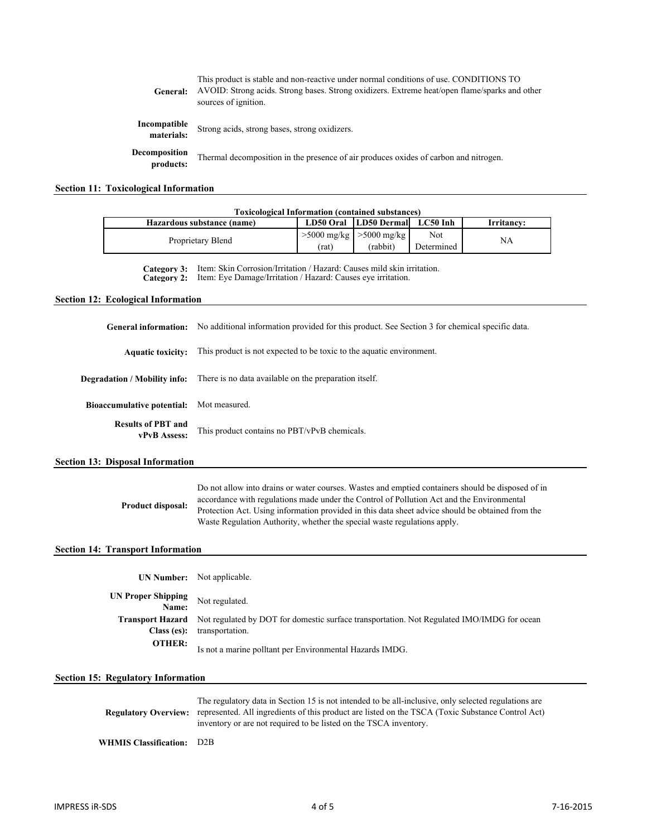| General:                   | This product is stable and non-reactive under normal conditions of use. CONDITIONS TO<br>AVOID: Strong acids. Strong bases. Strong oxidizers. Extreme heat/open flame/sparks and other<br>sources of ignition. |
|----------------------------|----------------------------------------------------------------------------------------------------------------------------------------------------------------------------------------------------------------|
| Incompatible<br>materials: | Strong acids, strong bases, strong oxidizers.                                                                                                                                                                  |
| Decomposition<br>products: | Thermal decomposition in the presence of air produces oxides of carbon and nitrogen.                                                                                                                           |

# **Section 11: Toxicological Information**

|                                           | <b>Toxicological Information (contained substances)</b>                                                                                                                                                                                                                                                                                                                        |                                                          |                           |                   |            |  |
|-------------------------------------------|--------------------------------------------------------------------------------------------------------------------------------------------------------------------------------------------------------------------------------------------------------------------------------------------------------------------------------------------------------------------------------|----------------------------------------------------------|---------------------------|-------------------|------------|--|
|                                           | Hazardous substance (name)                                                                                                                                                                                                                                                                                                                                                     | LD50 Oral<br>$>5000$ mg/kg                               | <b>LD50 Dermal</b>        | LC50 Inh          | Irritancy: |  |
|                                           | Proprietary Blend                                                                                                                                                                                                                                                                                                                                                              |                                                          | $>5000$ mg/kg<br>(rabbit) | Not<br>Determined | NA         |  |
| Category 3:<br>Category 2:                | Item: Skin Corrosion/Irritation / Hazard: Causes mild skin irritation.<br>Item: Eye Damage/Irritation / Hazard: Causes eye irritation.                                                                                                                                                                                                                                         |                                                          |                           |                   |            |  |
| <b>Section 12: Ecological Information</b> |                                                                                                                                                                                                                                                                                                                                                                                |                                                          |                           |                   |            |  |
| <b>General information:</b>               | No additional information provided for this product. See Section 3 for chemical specific data.                                                                                                                                                                                                                                                                                 |                                                          |                           |                   |            |  |
| <b>Aquatic toxicity:</b>                  | This product is not expected to be toxic to the aquatic environment.                                                                                                                                                                                                                                                                                                           |                                                          |                           |                   |            |  |
| Degradation / Mobility info:              | There is no data available on the preparation itself.                                                                                                                                                                                                                                                                                                                          |                                                          |                           |                   |            |  |
| <b>Bioaccumulative potential:</b>         | Mot measured.                                                                                                                                                                                                                                                                                                                                                                  |                                                          |                           |                   |            |  |
| <b>Results of PBT and</b><br>vPvB Assess: | This product contains no PBT/vPvB chemicals.                                                                                                                                                                                                                                                                                                                                   |                                                          |                           |                   |            |  |
| <b>Section 13: Disposal Information</b>   |                                                                                                                                                                                                                                                                                                                                                                                |                                                          |                           |                   |            |  |
| <b>Product disposal:</b>                  | Do not allow into drains or water courses. Wastes and emptied containers should be disposed of in<br>accordance with regulations made under the Control of Pollution Act and the Environmental<br>Protection Act. Using information provided in this data sheet advice should be obtained from the<br>Waste Regulation Authority, whether the special waste regulations apply. |                                                          |                           |                   |            |  |
| <b>Section 14: Transport Information</b>  |                                                                                                                                                                                                                                                                                                                                                                                |                                                          |                           |                   |            |  |
| <b>UN Number:</b>                         | Not applicable.                                                                                                                                                                                                                                                                                                                                                                |                                                          |                           |                   |            |  |
| <b>UN Proper Shipping</b><br>Name:        | Not regulated.                                                                                                                                                                                                                                                                                                                                                                 |                                                          |                           |                   |            |  |
| <b>Transport Hazard</b><br>Class (es):    | Not regulated by DOT for domestic surface transportation. Not Regulated IMO/IMDG for ocean<br>transportation.                                                                                                                                                                                                                                                                  |                                                          |                           |                   |            |  |
| <b>OTHER:</b>                             |                                                                                                                                                                                                                                                                                                                                                                                | Is not a marine polltant per Environmental Hazards IMDG. |                           |                   |            |  |
| <b>Section 15: Regulatory Information</b> |                                                                                                                                                                                                                                                                                                                                                                                |                                                          |                           |                   |            |  |
| <b>Regulatory Overview:</b>               | The regulatory data in Section 15 is not intended to be all-inclusive, only selected regulations are<br>represented. All ingredients of this product are listed on the TSCA (Toxic Substance Control Act)<br>inventory or are not required to be listed on the TSCA inventory.                                                                                                 |                                                          |                           |                   |            |  |
| <b>WHMIS Classification:</b>              | D2B                                                                                                                                                                                                                                                                                                                                                                            |                                                          |                           |                   |            |  |